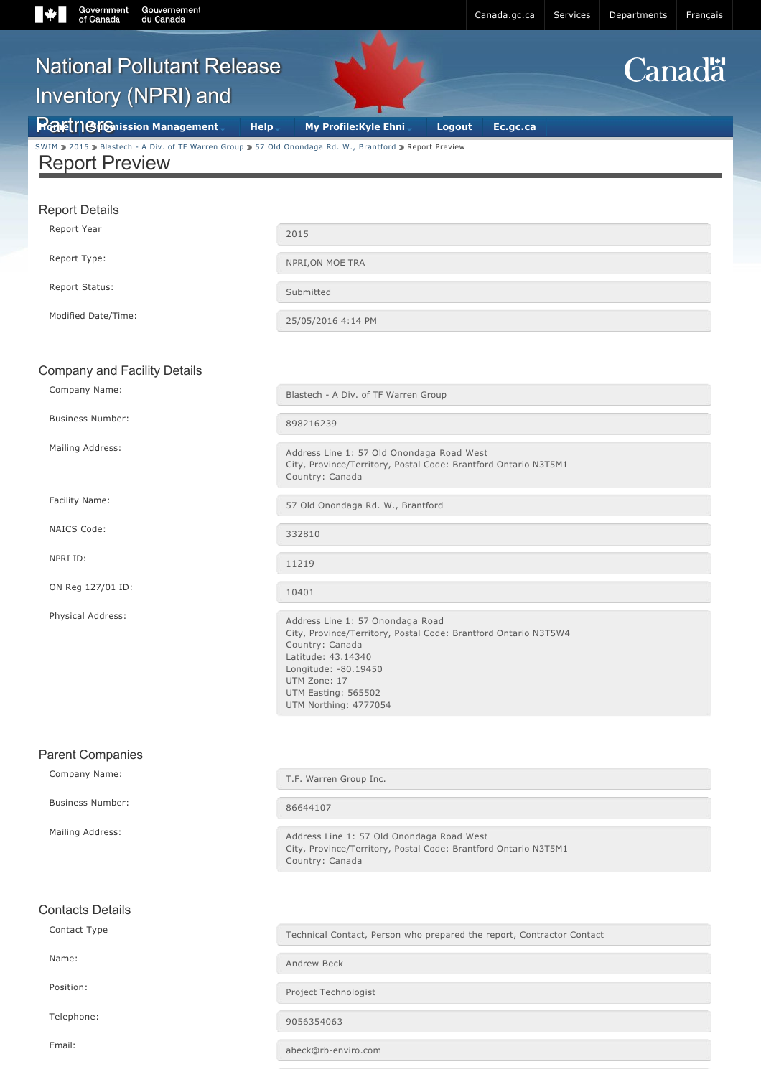# [SWIM](https://ec.ss.ec.gc.ca/auth/en/Services) [2015](about:/) Blastech - A Div. of TF Warren Group 2 [57 Old Onondaga Rd. W., Brantford](about:/) 2 Report Preview Report Preview Report Details Report Year 2015 Report Type: Network of the NPRI, ON MOE TRA Report Status: Submitted

Modified Date/Time: 25/05/2016 4:14 PM

#### Company and Facility Details

Gouvernement

Company Name: Company Name: Example 2014 of Blastech - A Div. of TF Warren Group

Business Number: 898216239

NAICS Code: 332810

NPRI ID: 11219

ON Reg 127/01 ID: 10401

Mailing Address: Mailing Address Line 1: 57 Old Onondaga Road West City, Province/Territory, Postal Code: Brantford Ontario N3T5M1 Country: Canada

Facility Name: Example 2014 Channel Communication of the S7 Old Onondaga Rd. W., Brantford

Physical Address: Address Line 1: 57 Onondaga Road City, Province/Territory, Postal Code: Brantford Ontario N3T5W4 Country: Canada Latitude: 43.14340 Longitude: -80.19450 UTM Zone: 17 UTM Easting: 565502 UTM Northing: 4777054

| <b>Parent Companies</b> |                                                                                                                                 |
|-------------------------|---------------------------------------------------------------------------------------------------------------------------------|
| Company Name:           | T.F. Warren Group Inc.                                                                                                          |
| <b>Business Number:</b> | 86644107                                                                                                                        |
| Mailing Address:        | Address Line 1: 57 Old Onondaga Road West<br>City, Province/Territory, Postal Code: Brantford Ontario N3T5M1<br>Country: Canada |
|                         |                                                                                                                                 |
|                         |                                                                                                                                 |
| Contact Type            | Technical Contact, Person who prepared the report, Contractor Contact                                                           |
| Name:                   | Andrew Beck                                                                                                                     |
| Position:               | Project Technologist                                                                                                            |
| Telephone:              | 9056354063                                                                                                                      |
| <b>Contacts Details</b> |                                                                                                                                 |

Email: abeck@rb-enviro.com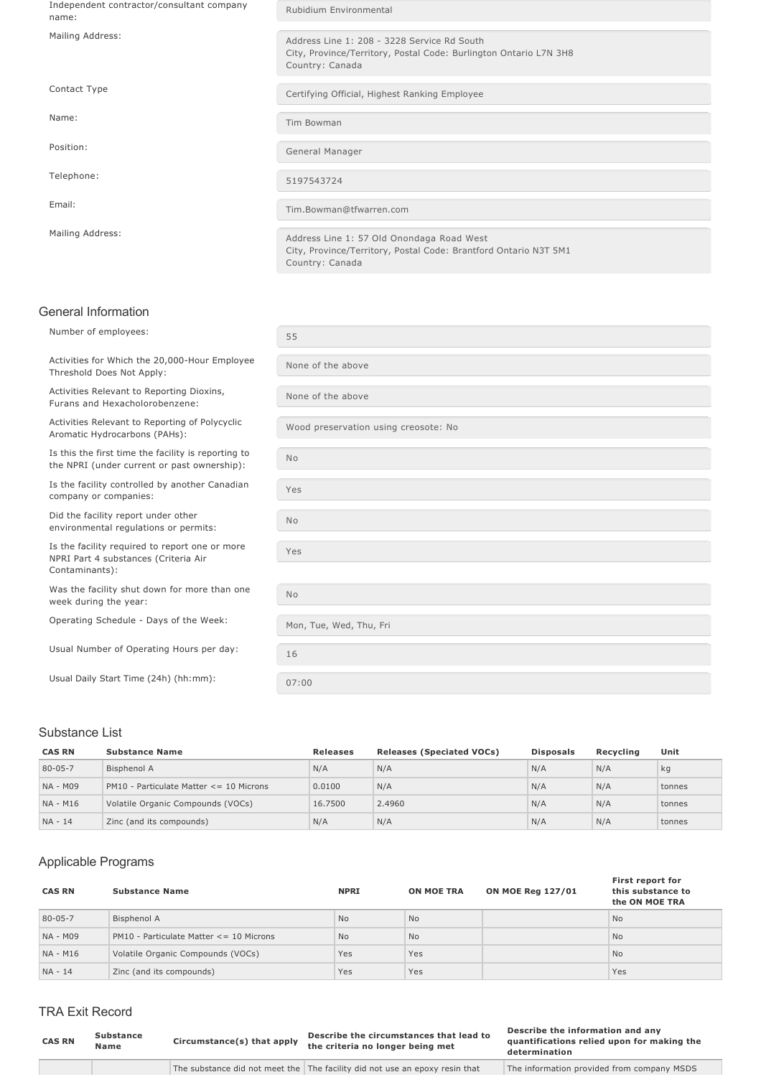| Independent contractor/consultant company<br>name: | Rubidium Environmental                                                                                                              |
|----------------------------------------------------|-------------------------------------------------------------------------------------------------------------------------------------|
| Mailing Address:                                   | Address Line 1: 208 - 3228 Service Rd South<br>City, Province/Territory, Postal Code: Burlington Ontario L7N 3H8<br>Country: Canada |
| Contact Type                                       | Certifying Official, Highest Ranking Employee                                                                                       |
| Name:                                              | Tim Bowman                                                                                                                          |
| Position:                                          | General Manager                                                                                                                     |
| Telephone:                                         | 5197543724                                                                                                                          |
| Email:                                             | Tim.Bowman@tfwarren.com                                                                                                             |
| Mailing Address:                                   | Address Line 1: 57 Old Onondaga Road West<br>City, Province/Territory, Postal Code: Brantford Ontario N3T 5M1<br>Country: Canada    |

## General Information

| Number of employees:                                                                                     | 55                                   |
|----------------------------------------------------------------------------------------------------------|--------------------------------------|
| Activities for Which the 20,000-Hour Employee<br>Threshold Does Not Apply:                               | None of the above                    |
| Activities Relevant to Reporting Dioxins,<br>Furans and Hexacholorobenzene:                              | None of the above                    |
| Activities Relevant to Reporting of Polycyclic<br>Aromatic Hydrocarbons (PAHs):                          | Wood preservation using creosote: No |
| Is this the first time the facility is reporting to<br>the NPRI (under current or past ownership):       | <b>No</b>                            |
| Is the facility controlled by another Canadian<br>company or companies:                                  | Yes                                  |
| Did the facility report under other<br>environmental regulations or permits:                             | <b>No</b>                            |
| Is the facility required to report one or more<br>NPRI Part 4 substances (Criteria Air<br>Contaminants): | Yes                                  |
| Was the facility shut down for more than one<br>week during the year:                                    | <b>No</b>                            |
| Operating Schedule - Days of the Week:                                                                   | Mon, Tue, Wed, Thu, Fri              |
| Usual Number of Operating Hours per day:                                                                 | 16                                   |
| Usual Daily Start Time (24h) (hh:mm):                                                                    | 07:00                                |

#### Substance List

| <b>CAS RN</b> | <b>Substance Name</b>                   | <b>Releases</b> | <b>Releases (Speciated VOCs)</b> | <b>Disposals</b> | Recvcling | Unit   |
|---------------|-----------------------------------------|-----------------|----------------------------------|------------------|-----------|--------|
| $80 - 05 - 7$ | Bisphenol A                             | N/A             | N/A                              | N/A              | N/A       | kg     |
| NA - M09      | PM10 - Particulate Matter <= 10 Microns | 0.0100          | N/A                              | N/A              | N/A       | tonnes |
| NA - M16      | Volatile Organic Compounds (VOCs)       | 16.7500         | 2.4960                           | N/A              | N/A       | tonnes |
| $NA - 14$     | Zinc (and its compounds)                | N/A             | N/A                              | N/A              | N/A       | tonnes |

## Applicable Programs

| <b>CAS RN</b> | <b>Substance Name</b>                   | <b>NPRI</b>    | <b>ON MOE TRA</b> | <b>ON MOE Reg 127/01</b> | First report for<br>this substance to<br>the ON MOE TRA |
|---------------|-----------------------------------------|----------------|-------------------|--------------------------|---------------------------------------------------------|
| 80-05-7       | <b>Bisphenol A</b>                      | <b>No</b>      | <b>No</b>         |                          | <b>No</b>                                               |
| NA - M09      | PM10 - Particulate Matter <= 10 Microns | N <sub>o</sub> | <b>No</b>         |                          | <b>No</b>                                               |
| NA - M16      | Volatile Organic Compounds (VOCs)       | Yes            | Yes               |                          | <b>No</b>                                               |
| NA - 14       | Zinc (and its compounds)                | Yes            | <b>Yes</b>        |                          | Yes                                                     |

## TRA Exit Record

| <b>CAS RN</b> | Substance<br>Name | Circumstance(s) that apply | Describe the circumstances that lead to<br>the criteria no longer being met | Describe the information and any<br>quantifications relied upon for making the<br>determination |
|---------------|-------------------|----------------------------|-----------------------------------------------------------------------------|-------------------------------------------------------------------------------------------------|
|               |                   |                            | The substance did not meet the The facility did not use an epoxy resin that | The information provided from company MSDS                                                      |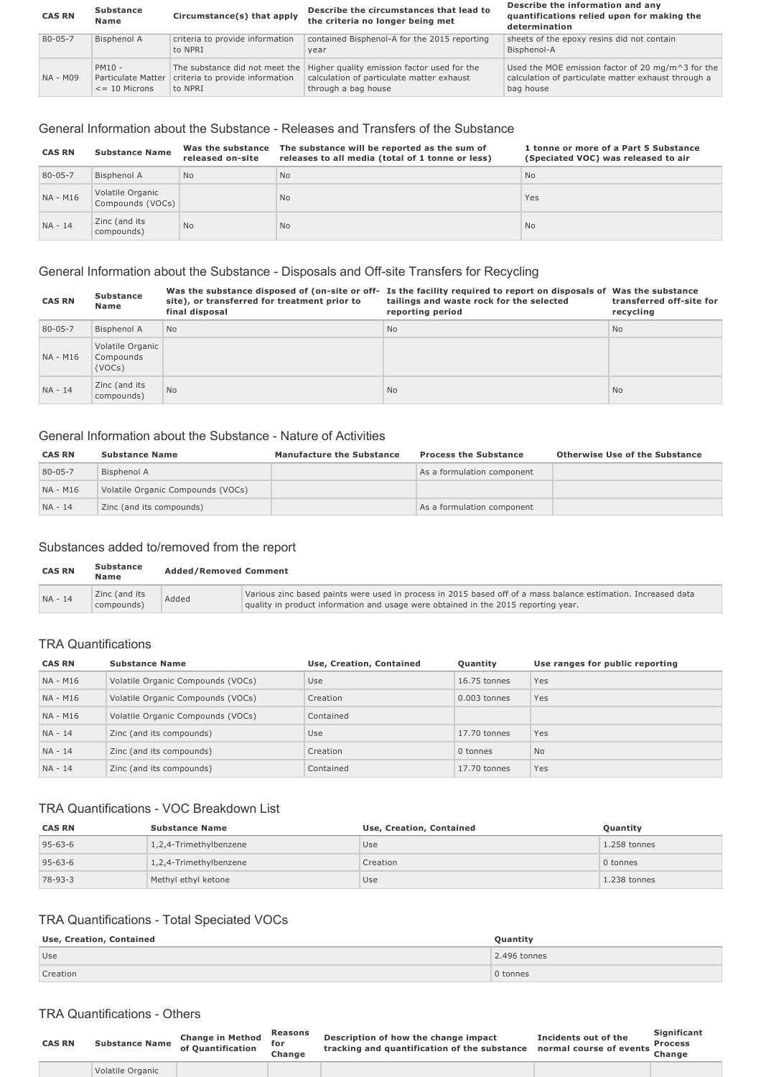| <b>CAS RN</b> | <b>Substance</b><br>Name                              | Circumstance(s) that apply                                                   | Describe the circumstances that lead to<br>the criteria no longer being met                                     | Describe the information and any<br>quantifications relied upon for making the<br>determination                       |
|---------------|-------------------------------------------------------|------------------------------------------------------------------------------|-----------------------------------------------------------------------------------------------------------------|-----------------------------------------------------------------------------------------------------------------------|
| $80 - 05 - 7$ | Bisphenol A                                           | criteria to provide information<br>to NPRI                                   | contained Bisphenol-A for the 2015 reporting<br>year                                                            | sheets of the epoxy resins did not contain<br>Bisphenol-A                                                             |
| NA - M09      | $PM10 -$<br>Particulate Matter<br>$\leq$ = 10 Microns | The substance did not meet the<br>criteria to provide information<br>to NPRI | Higher quality emission factor used for the<br>calculation of particulate matter exhaust<br>through a bag house | Used the MOE emission factor of 20 mg/m^3 for the<br>calculation of particulate matter exhaust through a<br>bag house |

### General Information about the Substance Releases and Transfers of the Substance

| <b>CAS RN</b> | <b>Substance Name</b>                | Was the substance<br>released on-site | The substance will be reported as the sum of<br>releases to all media (total of 1 tonne or less) | 1 tonne or more of a Part 5 Substance<br>(Speciated VOC) was released to air |
|---------------|--------------------------------------|---------------------------------------|--------------------------------------------------------------------------------------------------|------------------------------------------------------------------------------|
| 80-05-7       | Bisphenol A                          | <b>No</b>                             | <b>No</b>                                                                                        | N <sub>o</sub>                                                               |
| NA - M16      | Volatile Organic<br>Compounds (VOCs) |                                       | <b>No</b>                                                                                        | Yes                                                                          |
| $NA - 14$     | Zinc (and its<br>compounds)          | <b>No</b>                             | <b>No</b>                                                                                        | N <sub>o</sub>                                                               |

#### General Information about the Substance - Disposals and Off-site Transfers for Recycling

| <b>CAS RN</b> | <b>Substance</b><br>Name                | site), or transferred for treatment prior to<br>final disposal | Was the substance disposed of (on-site or off- Is the facility required to report on disposals of Was the substance<br>tailings and waste rock for the selected<br>reporting period | transferred off-site for<br>recycling |
|---------------|-----------------------------------------|----------------------------------------------------------------|-------------------------------------------------------------------------------------------------------------------------------------------------------------------------------------|---------------------------------------|
| $80 - 05 - 7$ | Bisphenol A                             | N <sub>0</sub>                                                 | N <sub>o</sub>                                                                                                                                                                      | <b>No</b>                             |
| NA - M16      | Volatile Organic<br>Compounds<br>(VOCs) |                                                                |                                                                                                                                                                                     |                                       |
| $NA - 14$     | Zinc (and its<br>compounds)             | <b>No</b>                                                      | <b>No</b>                                                                                                                                                                           | <b>No</b>                             |

#### General Information about the Substance Nature of Activities

| <b>CAS RN</b> | <b>Substance Name</b>             | <b>Manufacture the Substance</b> | <b>Process the Substance</b> | <b>Otherwise Use of the Substance</b> |
|---------------|-----------------------------------|----------------------------------|------------------------------|---------------------------------------|
| 80-05-7       | Bisphenol A                       |                                  | As a formulation component   |                                       |
| NA - M16      | Volatile Organic Compounds (VOCs) |                                  |                              |                                       |
| $NA - 14$     | Zinc (and its compounds)          |                                  | As a formulation component   |                                       |

#### Substances added to/removed from the report

| <b>CAS RN</b> | Substance<br>Name           | <b>Added/Removed Comment</b> |                                                                                                                                                                                                     |  |
|---------------|-----------------------------|------------------------------|-----------------------------------------------------------------------------------------------------------------------------------------------------------------------------------------------------|--|
| $NA - 14$     | Zinc (and its<br>compounds) | Added                        | Various zinc based paints were used in process in 2015 based off of a mass balance estimation. Increased data<br>quality in product information and usage were obtained in the 2015 reporting year. |  |

#### TRA Quantifications

| <b>CAS RN</b> | <b>Substance Name</b>             | Use, Creation, Contained | Quantity       | Use ranges for public reporting |
|---------------|-----------------------------------|--------------------------|----------------|---------------------------------|
| NA - M16      | Volatile Organic Compounds (VOCs) | Use                      | 16.75 tonnes   | Yes                             |
| NA - M16      | Volatile Organic Compounds (VOCs) | Creation                 | $0.003$ tonnes | Yes                             |
| NA - M16      | Volatile Organic Compounds (VOCs) | Contained                |                |                                 |
| $NA - 14$     | Zinc (and its compounds)          | Use                      | 17.70 tonnes   | Yes                             |
| $NA - 14$     | Zinc (and its compounds)          | Creation                 | 0 tonnes       | <b>No</b>                       |
| $NA - 14$     | Zinc (and its compounds)          | Contained                | 17.70 tonnes   | Yes                             |

#### TRA Quantifications VOC Breakdown List

| <b>CAS RN</b> | <b>Substance Name</b>  | Use, Creation, Contained | Quantity     |
|---------------|------------------------|--------------------------|--------------|
| $95 - 63 - 6$ | 1,2,4-Trimethylbenzene | Use                      | 1.258 tonnes |
| $95 - 63 - 6$ | 1,2,4-Trimethylbenzene | Creation                 | 0 tonnes     |
| $78 - 93 - 3$ | Methyl ethyl ketone    | Use                      | 1.238 tonnes |

### TRA Quantifications - Total Speciated VOCs

| <b>Use, Creation, Contained</b> | Quantity             |
|---------------------------------|----------------------|
| Use                             | $\vert$ 2.496 tonnes |
| Creation                        | 0 tonnes             |

#### TRA Quantifications - Others

| <b>CAS RN</b> | <b>Substance Name</b> | <b>Change in Method</b><br>of Quantification | Reasons<br>Change | Description of how the change impact<br>tracking and quantification of the substance normal course of events change | Incidents out of the | <b>Significant</b> |
|---------------|-----------------------|----------------------------------------------|-------------------|---------------------------------------------------------------------------------------------------------------------|----------------------|--------------------|
|               | Volatile Organic      |                                              |                   |                                                                                                                     |                      |                    |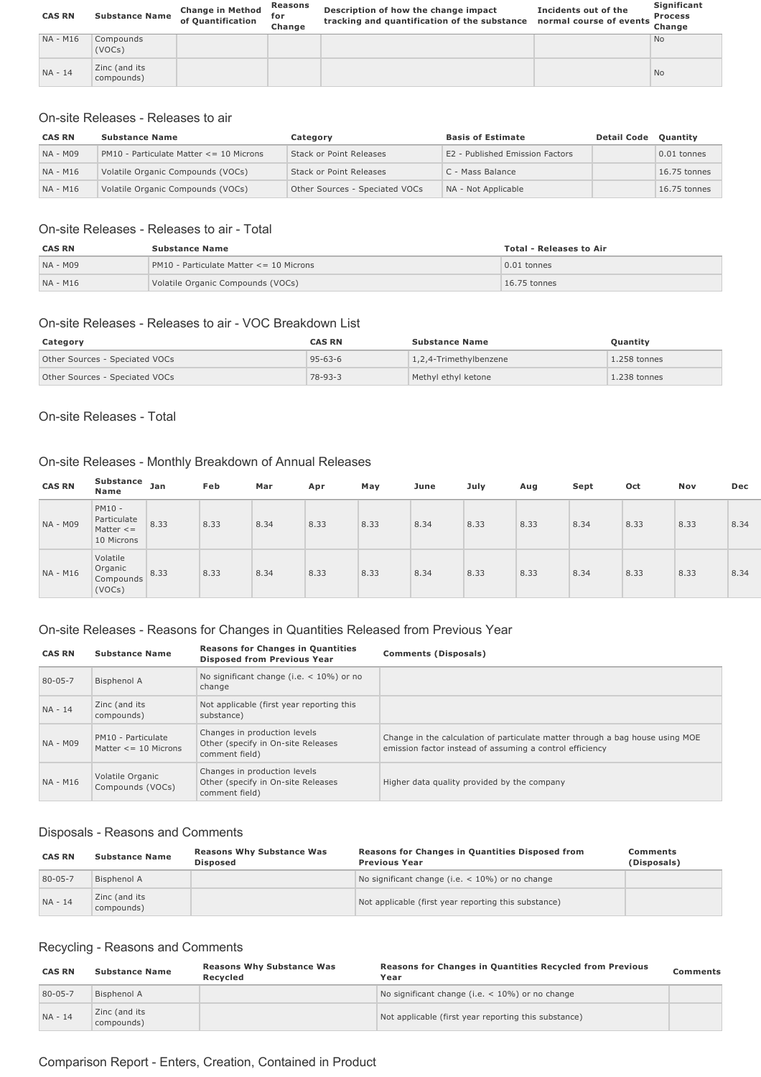| <b>CAS RN</b>   | <b>Substance Name</b>       | <b>Change in Method</b><br>of Quantification | Reasons<br>for<br>Change | Description of how the change impact<br>tracking and quantification of the substance | Incidents out of the<br>normal course of events | Significant<br><b>Process</b><br>Change |
|-----------------|-----------------------------|----------------------------------------------|--------------------------|--------------------------------------------------------------------------------------|-------------------------------------------------|-----------------------------------------|
| <b>NA - M16</b> | Compounds<br>(VOCs)         |                                              |                          |                                                                                      |                                                 | <b>No</b>                               |
| NA - 14         | Zinc (and its<br>compounds) |                                              |                          |                                                                                      |                                                 | <b>No</b>                               |

#### On-site Releases - Releases to air

| <b>CAS RN</b> | <b>Substance Name</b>                       | Category                       | <b>Basis of Estimate</b>        | <b>Detail Code</b> | <b>Ouantity</b> |
|---------------|---------------------------------------------|--------------------------------|---------------------------------|--------------------|-----------------|
| NA - M09      | $PM10 - Particulate Matter \leq 10$ Microns | Stack or Point Releases        | E2 - Published Emission Factors |                    | $0.01$ tonnes   |
| NA - M16      | Volatile Organic Compounds (VOCs)           | Stack or Point Releases        | C - Mass Balance                |                    | $16.75$ tonnes  |
| NA - M16      | Volatile Organic Compounds (VOCs)           | Other Sources - Speciated VOCs | NA - Not Applicable             |                    | $16.75$ tonnes  |

#### On-site Releases - Releases to air - Total

| <b>CAS RN</b> | <b>Substance Name</b>                       | <b>Total - Releases to Air</b> |
|---------------|---------------------------------------------|--------------------------------|
| NA - M09      | $PM10 - Particulate Matter \leq 10$ Microns | $\vert$ 0.01 tonnes            |
| NA - M16      | Volatile Organic Compounds (VOCs)           | $\vert$ 16.75 tonnes           |

#### On-site Releases - Releases to air - VOC Breakdown List

| Category                       | <b>CAS RN</b> | <b>Substance Name</b>  | <b>Ouantity</b> |
|--------------------------------|---------------|------------------------|-----------------|
| Other Sources - Speciated VOCs | $95 - 63 - 6$ | 1,2,4-Trimethylbenzene | $1.258$ tonnes  |
| Other Sources - Speciated VOCs | $78 - 93 - 3$ | Methyl ethyl ketone    | $1.238$ tonnes  |

#### On-site Releases - Total

### On-site Releases - Monthly Breakdown of Annual Releases

| <b>CAS RN</b> | Substance<br>Name                                      | Jan  | Feb  | Mar  | Apr  | May  | June | July | Aug  | Sept | Oct  | Nov  | Dec  |
|---------------|--------------------------------------------------------|------|------|------|------|------|------|------|------|------|------|------|------|
| NA - M09      | PM10 -<br>Particulate<br>Matter $\leq$ =<br>10 Microns | 8.33 | 8.33 | 8.34 | 8.33 | 8.33 | 8.34 | 8.33 | 8.33 | 8.34 | 8.33 | 8.33 | 8.34 |
| NA - M16      | Volatile<br>Organic<br>Compounds<br>(VOCs)             | 8.33 | 8.33 | 8.34 | 8.33 | 8.33 | 8.34 | 8.33 | 8.33 | 8.34 | 8.33 | 8.33 | 8.34 |

#### On-site Releases - Reasons for Changes in Quantities Released from Previous Year

| <b>CAS RN</b> | <b>Substance Name</b>                            | <b>Reasons for Changes in Quantities</b><br><b>Disposed from Previous Year</b>       | <b>Comments (Disposals)</b>                                                                                                               |
|---------------|--------------------------------------------------|--------------------------------------------------------------------------------------|-------------------------------------------------------------------------------------------------------------------------------------------|
| 80-05-7       | Bisphenol A                                      | No significant change (i.e. $<$ 10%) or no<br>change                                 |                                                                                                                                           |
| NA - 14       | Zinc (and its<br>compounds)                      | Not applicable (first year reporting this<br>substance)                              |                                                                                                                                           |
| NA - M09      | PM10 - Particulate<br>Matter $\leq$ = 10 Microns | Changes in production levels<br>Other (specify in On-site Releases<br>comment field) | Change in the calculation of particulate matter through a bag house using MOE<br>emission factor instead of assuming a control efficiency |
| NA - M16      | Volatile Organic<br>Compounds (VOCs)             | Changes in production levels<br>Other (specify in On-site Releases<br>comment field) | Higher data quality provided by the company                                                                                               |

#### Disposals - Reasons and Comments

| <b>CAS RN</b> | <b>Substance Name</b>       | <b>Reasons Why Substance Was</b><br><b>Disposed</b> | <b>Reasons for Changes in Quantities Disposed from</b><br><b>Previous Year</b> | Comments<br>(Disposals) |
|---------------|-----------------------------|-----------------------------------------------------|--------------------------------------------------------------------------------|-------------------------|
| 80-05-7       | Bisphenol A                 |                                                     | No significant change (i.e. $<$ 10%) or no change                              |                         |
| $NA - 14$     | Zinc (and its<br>compounds) |                                                     | Not applicable (first year reporting this substance)                           |                         |

### Recycling - Reasons and Comments

| <b>CAS RN</b> | <b>Substance Name</b>       | <b>Reasons Why Substance Was</b><br>Recvcled | <b>Reasons for Changes in Quantities Recycled from Previous</b><br>Year | Comments |
|---------------|-----------------------------|----------------------------------------------|-------------------------------------------------------------------------|----------|
| $80 - 05 - 7$ | Bisphenol A                 |                                              | No significant change (i.e. $<$ 10%) or no change                       |          |
| $NA - 14$     | Zinc (and its<br>compounds) |                                              | Not applicable (first year reporting this substance)                    |          |

## Comparison Report - Enters, Creation, Contained in Product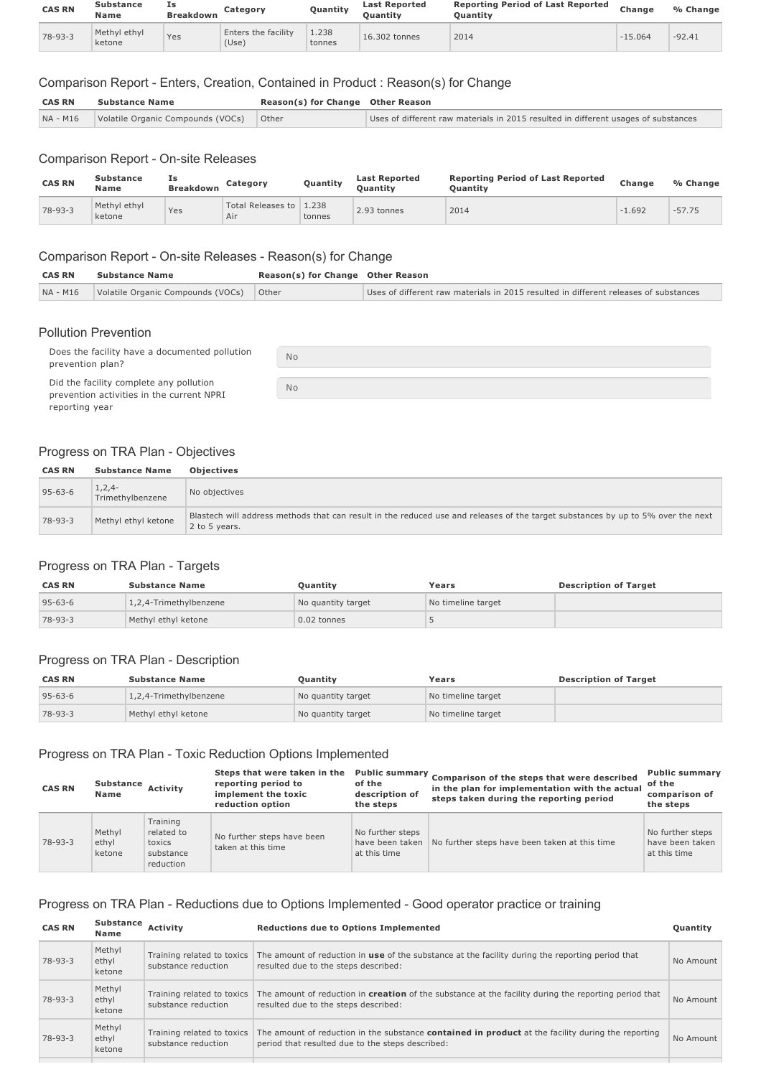| <b>CAS RN</b> | Substance<br><b>Name</b> | Ιs<br><b>Breakdown</b> | Category                     | Quantity        | <b>Last Reported</b><br><b>Ouantity</b> | <b>Reporting Period of Last Reported</b><br>Ouantitv | Change    | % Change |
|---------------|--------------------------|------------------------|------------------------------|-----------------|-----------------------------------------|------------------------------------------------------|-----------|----------|
| 78-93-3       | Methyl ethyl<br>ketone   | Yes                    | Enters the facility<br>(Use) | 1.238<br>tonnes | 16.302 tonnes                           | 2014                                                 | $-15.064$ | $-92.41$ |

#### Comparison Report - Enters, Creation, Contained in Product : Reason(s) for Change

| <b>CAS RN</b> | <b>Substance Name</b>             |       | Reason(s) for Change Other Reason                                                  |
|---------------|-----------------------------------|-------|------------------------------------------------------------------------------------|
| NA - M16      | Volatile Organic Compounds (VOCs) | Other | Uses of different raw materials in 2015 resulted in different usages of substances |

#### Comparison Report - On-site Releases

| <b>CAS RN</b> | <b>Substance</b><br>Name | Ιs<br><b>Breakdown</b> | Category                       | Quantity | <b>Last Reported</b><br><b>Ouantity</b> | <b>Reporting Period of Last Reported</b><br><b>Ouantity</b> | Change   | % Change |
|---------------|--------------------------|------------------------|--------------------------------|----------|-----------------------------------------|-------------------------------------------------------------|----------|----------|
| $78 - 93 - 3$ | Methyl ethyl<br>ketone   | Yes                    | Total Releases to 1.238<br>Air | tonnes   | 2.93 tonnes                             | 2014                                                        | $-1.692$ | $-57.75$ |

#### Comparison Report - On-site Releases - Reason(s) for Change

| <b>CAS RN</b> | <b>Substance Name</b>                   | Reason(s) for Change Other Reason |                                                                                      |
|---------------|-----------------------------------------|-----------------------------------|--------------------------------------------------------------------------------------|
| NA - M16      | Volatile Organic Compounds (VOCs) Other |                                   | Uses of different raw materials in 2015 resulted in different releases of substances |
|               |                                         |                                   |                                                                                      |

#### Pollution Prevention

| Does the facility have a documented pollution<br>prevention plan?                                      | <b>No</b> |
|--------------------------------------------------------------------------------------------------------|-----------|
| Did the facility complete any pollution<br>prevention activities in the current NPRI<br>reporting year | <b>No</b> |

## Progress on TRA Plan - Objectives

| <b>CAS RN</b> | <b>Substance Name</b>        | <b>Objectives</b>                                                                                                                                 |
|---------------|------------------------------|---------------------------------------------------------------------------------------------------------------------------------------------------|
| $95 - 63 - 6$ | $1,2,4-$<br>Trimethylbenzene | No objectives                                                                                                                                     |
| $78 - 93 - 3$ | Methyl ethyl ketone          | Blastech will address methods that can result in the reduced use and releases of the target substances by up to 5% over the next<br>2 to 5 years. |

#### Progress on TRA Plan - Targets

| <b>CAS RN</b> | <b>Substance Name</b>  | <b>Ouantity</b>    | Years              | <b>Description of Target</b> |
|---------------|------------------------|--------------------|--------------------|------------------------------|
| $95 - 63 - 6$ | 1,2,4-Trimethylbenzene | No quantity target | No timeline target |                              |
| $78 - 93 - 3$ | Methyl ethyl ketone    | 0.02 tonnes        |                    |                              |

#### Progress on TRA Plan - Description

| <b>CAS RN</b> | <b>Substance Name</b>  | <b>Ouantity</b>    | Years              | <b>Description of Target</b> |
|---------------|------------------------|--------------------|--------------------|------------------------------|
| $95 - 63 - 6$ | 1,2,4-Trimethylbenzene | No quantity target | No timeline target |                              |
| $78 - 93 - 3$ | Methyl ethyl ketone    | No quantity target | No timeline target |                              |

#### Progress on TRA Plan - Toxic Reduction Options Implemented

| <b>CAS RN</b> | Substance<br><b>Name</b>  | <b>Activity</b>                                            | Steps that were taken in the<br>reporting period to<br>implement the toxic<br>reduction option | of the<br>description of<br>the steps               | Public summary Comparison of the steps that were described<br>in the plan for implementation with the actual<br>steps taken during the reporting period | <b>Public summary</b><br>of the<br>comparison of<br>the steps |
|---------------|---------------------------|------------------------------------------------------------|------------------------------------------------------------------------------------------------|-----------------------------------------------------|---------------------------------------------------------------------------------------------------------------------------------------------------------|---------------------------------------------------------------|
| $78 - 93 - 3$ | Methyl<br>ethyl<br>ketone | Training<br>related to<br>toxics<br>substance<br>reduction | No further steps have been<br>taken at this time                                               | No further steps<br>have been taken<br>at this time | No further steps have been taken at this time                                                                                                           | No further steps<br>have been taken<br>at this time           |

## Progress on TRA Plan - Reductions due to Options Implemented - Good operator practice or training

| <b>CAS RN</b> | <b>Substance</b><br>Name  | Activity                                          | <b>Reductions due to Options Implemented</b>                                                                                                                  | <b>Ouantity</b> |
|---------------|---------------------------|---------------------------------------------------|---------------------------------------------------------------------------------------------------------------------------------------------------------------|-----------------|
| $78 - 93 - 3$ | Methyl<br>ethyl<br>ketone | Training related to toxics<br>substance reduction | The amount of reduction in <b>use</b> of the substance at the facility during the reporting period that<br>resulted due to the steps described:               | No Amount       |
| $78 - 93 - 3$ | Methyl<br>ethyl<br>ketone | Training related to toxics<br>substance reduction | The amount of reduction in <b>creation</b> of the substance at the facility during the reporting period that<br>resulted due to the steps described:          | No Amount       |
| $78 - 93 - 3$ | Methyl<br>ethyl<br>ketone | Training related to toxics<br>substance reduction | The amount of reduction in the substance <b>contained in product</b> at the facility during the reporting<br>period that resulted due to the steps described: | No Amount       |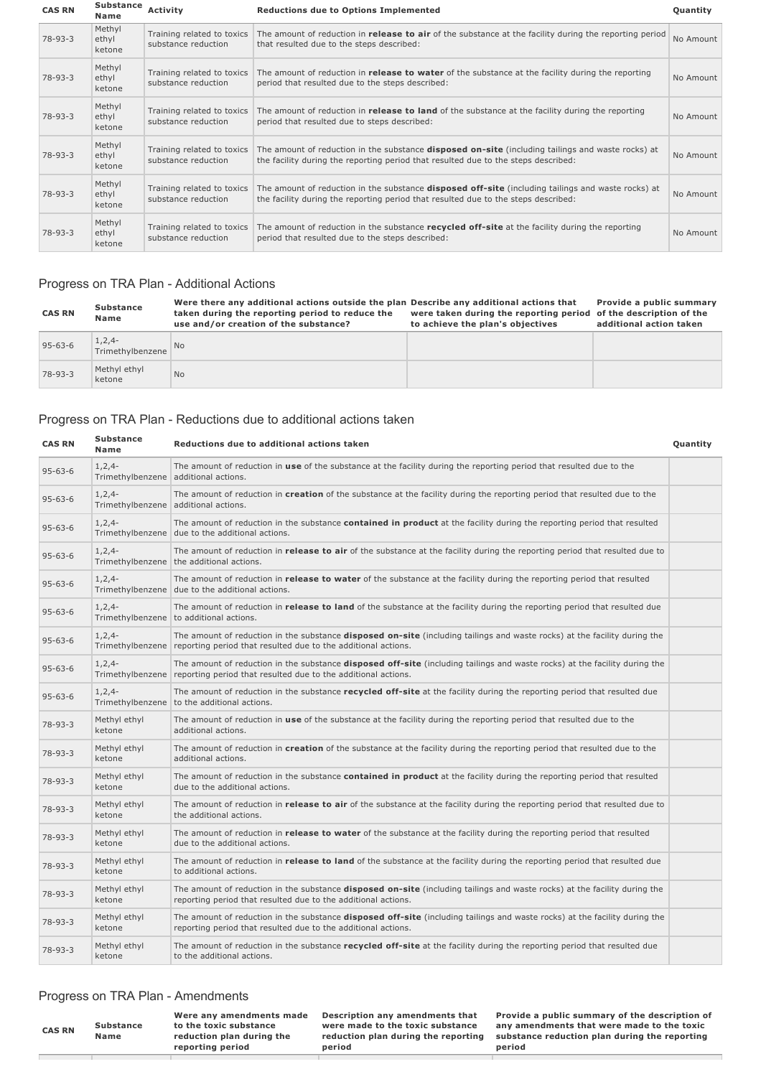| <b>CAS RN</b> | Substance<br>Name         | Activity                                          | <b>Reductions due to Options Implemented</b>                                                                                                                                                    | Quantity  |
|---------------|---------------------------|---------------------------------------------------|-------------------------------------------------------------------------------------------------------------------------------------------------------------------------------------------------|-----------|
| $78 - 93 - 3$ | Methyl<br>ethyl<br>ketone | Training related to toxics<br>substance reduction | The amount of reduction in <b>release to air</b> of the substance at the facility during the reporting period<br>that resulted due to the steps described:                                      | No Amount |
| $78 - 93 - 3$ | Methyl<br>ethyl<br>ketone | Training related to toxics<br>substance reduction | The amount of reduction in <b>release to water</b> of the substance at the facility during the reporting<br>period that resulted due to the steps described:                                    | No Amount |
| $78 - 93 - 3$ | Methyl<br>ethyl<br>ketone | Training related to toxics<br>substance reduction | The amount of reduction in <b>release to land</b> of the substance at the facility during the reporting<br>period that resulted due to steps described:                                         | No Amount |
| 78-93-3       | Methyl<br>ethyl<br>ketone | Training related to toxics<br>substance reduction | The amount of reduction in the substance disposed on-site (including tailings and waste rocks) at<br>the facility during the reporting period that resulted due to the steps described:         | No Amount |
| 78-93-3       | Methyl<br>ethyl<br>ketone | Training related to toxics<br>substance reduction | The amount of reduction in the substance <b>disposed off-site</b> (including tailings and waste rocks) at<br>the facility during the reporting period that resulted due to the steps described: | No Amount |
| $78 - 93 - 3$ | Methyl<br>ethyl<br>ketone | Training related to toxics<br>substance reduction | The amount of reduction in the substance recycled off-site at the facility during the reporting<br>period that resulted due to the steps described:                                             | No Amount |

### Progress on TRA Plan - Additional Actions

| <b>CAS RN</b> | <b>Substance</b><br>Name       | Were there any additional actions outside the plan Describe any additional actions that<br>taken during the reporting period to reduce the<br>use and/or creation of the substance? | were taken during the reporting period of the description of the<br>to achieve the plan's objectives | Provide a public summary<br>additional action taken |
|---------------|--------------------------------|-------------------------------------------------------------------------------------------------------------------------------------------------------------------------------------|------------------------------------------------------------------------------------------------------|-----------------------------------------------------|
| $95 - 63 - 6$ | $1, 2, 4-$<br>Trimethylbenzene | N <sub>0</sub>                                                                                                                                                                      |                                                                                                      |                                                     |
| 78-93-3       | Methyl ethyl<br>ketone         | <b>No</b>                                                                                                                                                                           |                                                                                                      |                                                     |

### Progress on TRA Plan - Reductions due to additional actions taken

| <b>CAS RN</b> | <b>Substance</b><br>Name       | Reductions due to additional actions taken                                                                                                                                                                          | Quantity |
|---------------|--------------------------------|---------------------------------------------------------------------------------------------------------------------------------------------------------------------------------------------------------------------|----------|
| $95 - 63 - 6$ | $1, 2, 4-$                     | The amount of reduction in use of the substance at the facility during the reporting period that resulted due to the<br>Trimethylbenzene additional actions.                                                        |          |
| $95 - 63 - 6$ | $1, 2, 4-$                     | The amount of reduction in creation of the substance at the facility during the reporting period that resulted due to the<br>Trimethylbenzene additional actions.                                                   |          |
| $95 - 63 - 6$ | $1, 2, 4-$                     | The amount of reduction in the substance <b>contained in product</b> at the facility during the reporting period that resulted<br>Trimethylbenzene due to the additional actions.                                   |          |
| $95 - 63 - 6$ | $1, 2, 4-$                     | The amount of reduction in <b>release to air</b> of the substance at the facility during the reporting period that resulted due to<br>Trimethylbenzene the additional actions.                                      |          |
| $95 - 63 - 6$ | $1, 2, 4-$                     | The amount of reduction in release to water of the substance at the facility during the reporting period that resulted<br>Trimethylbenzene due to the additional actions.                                           |          |
| $95 - 63 - 6$ | $1, 2, 4-$                     | The amount of reduction in release to land of the substance at the facility during the reporting period that resulted due<br>Trimethylbenzene to additional actions.                                                |          |
| $95 - 63 - 6$ | $1, 2, 4-$                     | The amount of reduction in the substance <b>disposed on-site</b> (including tailings and waste rocks) at the facility during the<br>Trimethylbenzene reporting period that resulted due to the additional actions.  |          |
| $95 - 63 - 6$ | $1, 2, 4-$                     | The amount of reduction in the substance <b>disposed off-site</b> (including tailings and waste rocks) at the facility during the<br>Trimethylbenzene reporting period that resulted due to the additional actions. |          |
| $95 - 63 - 6$ | $1, 2, 4-$<br>Trimethylbenzene | The amount of reduction in the substance <b>recycled off-site</b> at the facility during the reporting period that resulted due<br>to the additional actions.                                                       |          |
| $78 - 93 - 3$ | Methyl ethyl<br>ketone         | The amount of reduction in use of the substance at the facility during the reporting period that resulted due to the<br>additional actions.                                                                         |          |
| $78 - 93 - 3$ | Methyl ethyl<br>ketone         | The amount of reduction in creation of the substance at the facility during the reporting period that resulted due to the<br>additional actions.                                                                    |          |
| 78-93-3       | Methyl ethyl<br>ketone         | The amount of reduction in the substance contained in product at the facility during the reporting period that resulted<br>due to the additional actions.                                                           |          |
| 78-93-3       | Methyl ethyl<br>ketone         | The amount of reduction in <b>release to air</b> of the substance at the facility during the reporting period that resulted due to<br>the additional actions.                                                       |          |
| 78-93-3       | Methyl ethyl<br>ketone         | The amount of reduction in release to water of the substance at the facility during the reporting period that resulted<br>due to the additional actions.                                                            |          |
| $78 - 93 - 3$ | Methyl ethyl<br>ketone         | The amount of reduction in <b>release to land</b> of the substance at the facility during the reporting period that resulted due<br>to additional actions.                                                          |          |
| $78 - 93 - 3$ | Methyl ethyl<br>ketone         | The amount of reduction in the substance <b>disposed on-site</b> (including tailings and waste rocks) at the facility during the<br>reporting period that resulted due to the additional actions.                   |          |
| $78 - 93 - 3$ | Methyl ethyl<br>ketone         | The amount of reduction in the substance <b>disposed off-site</b> (including tailings and waste rocks) at the facility during the<br>reporting period that resulted due to the additional actions.                  |          |
| $78 - 93 - 3$ | Methyl ethyl<br>ketone         | The amount of reduction in the substance <b>recycled off-site</b> at the facility during the reporting period that resulted due<br>to the additional actions.                                                       |          |

#### Progress on TRA Plan - Amendments

| <b>CAS RN</b> | <b>Substance</b><br>Name | Were any amendments made<br>to the toxic substance<br>reduction plan during the |
|---------------|--------------------------|---------------------------------------------------------------------------------|
|               |                          | reporting period                                                                |

**Description any amendments that were made to the toxic substance reduction plan during the reporting period**

**Provide a public summary of the description of any amendments that were made to the toxic substance reduction plan during the reporting period**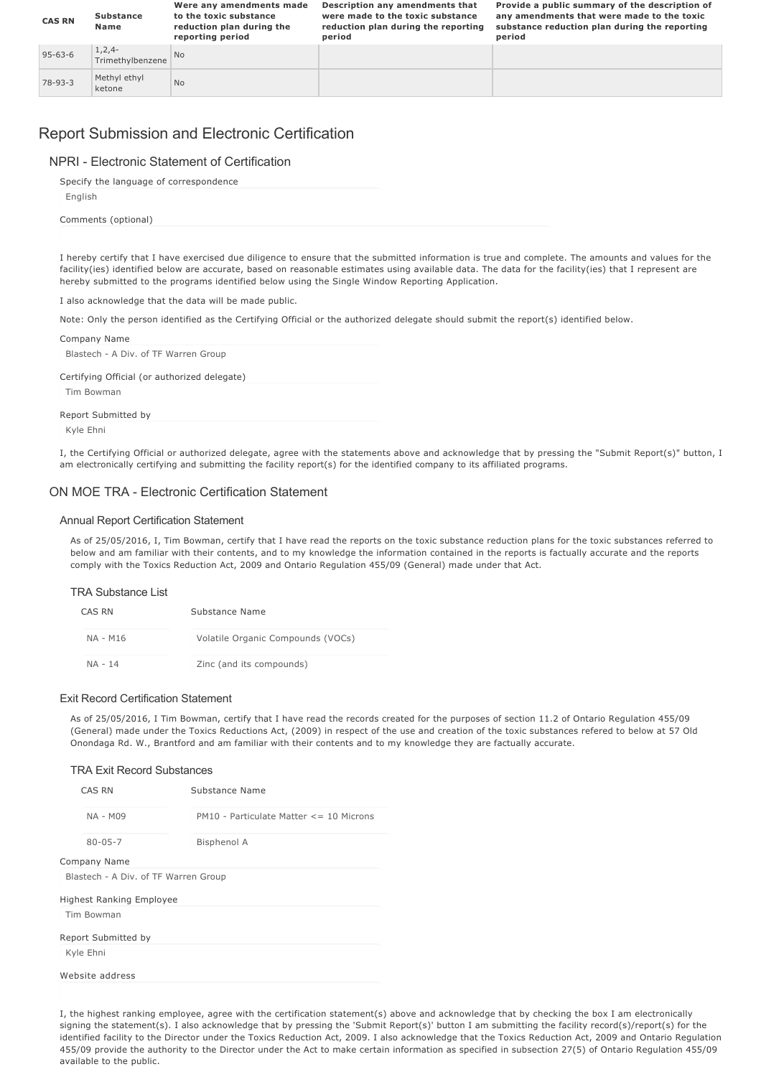| <b>CAS RN</b> | <b>Substance</b><br>Name       | Were any amendments made<br>to the toxic substance<br>reduction plan during the<br>reporting period | Description any amendments that<br>were made to the toxic substance<br>reduction plan during the reporting<br>period | Provide a public summary of the description of<br>any amendments that were made to the toxic<br>substance reduction plan during the reporting<br>period |
|---------------|--------------------------------|-----------------------------------------------------------------------------------------------------|----------------------------------------------------------------------------------------------------------------------|---------------------------------------------------------------------------------------------------------------------------------------------------------|
| $95 - 63 - 6$ | $1, 2, 4-$<br>Trimethylbenzene | <b>No</b>                                                                                           |                                                                                                                      |                                                                                                                                                         |
| $78 - 93 - 3$ | Methyl ethyl<br>ketone         | N <sub>o</sub>                                                                                      |                                                                                                                      |                                                                                                                                                         |

## Report Submission and Electronic Certification

#### NPRI - Electronic Statement of Certification

Specify the language of correspondence

English

Comments (optional)

I hereby certify that I have exercised due diligence to ensure that the submitted information is true and complete. The amounts and values for the facility(ies) identified below are accurate, based on reasonable estimates using available data. The data for the facility(ies) that I represent are hereby submitted to the programs identified below using the Single Window Reporting Application.

I also acknowledge that the data will be made public.

Note: Only the person identified as the Certifying Official or the authorized delegate should submit the report(s) identified below.

| Company Name                                 |  |
|----------------------------------------------|--|
| Blastech - A Div. of TF Warren Group         |  |
| Certifying Official (or authorized delegate) |  |
| Tim Bowman                                   |  |
| Report Submitted by                          |  |

Kyle Ehni

I, the Certifying Official or authorized delegate, agree with the statements above and acknowledge that by pressing the "Submit Report(s)" button, I am electronically certifying and submitting the facility report(s) for the identified company to its affiliated programs.

#### ON MOE TRA - Electronic Certification Statement

#### Annual Report Certification Statement

As of 25/05/2016, I, Tim Bowman, certify that I have read the reports on the toxic substance reduction plans for the toxic substances referred to below and am familiar with their contents, and to my knowledge the information contained in the reports is factually accurate and the reports comply with the Toxics Reduction Act, 2009 and Ontario Regulation 455/09 (General) made under that Act.

#### TRA Substance List

| CAS RN   | Substance Name                    |
|----------|-----------------------------------|
| NA - M16 | Volatile Organic Compounds (VOCs) |
| NA - 14  | Zinc (and its compounds)          |

#### Exit Record Certification Statement

As of 25/05/2016, I Tim Bowman, certify that I have read the records created for the purposes of section 11.2 of Ontario Regulation 455/09 (General) made under the Toxics Reductions Act, (2009) in respect of the use and creation of the toxic substances refered to below at 57 Old Onondaga Rd. W., Brantford and am familiar with their contents and to my knowledge they are factually accurate.

#### TRA Exit Record Substances

| CAS RN                               | Substance Name                              |  |  |
|--------------------------------------|---------------------------------------------|--|--|
| <b>NA - M09</b>                      | $PM10 - Particulate Matter \leq 10$ Microns |  |  |
| $80 - 05 - 7$                        | <b>Bisphenol A</b>                          |  |  |
| Company Name                         |                                             |  |  |
| Blastech - A Div. of TF Warren Group |                                             |  |  |
| <b>Highest Ranking Employee</b>      |                                             |  |  |
| Tim Bowman                           |                                             |  |  |
| Report Submitted by                  |                                             |  |  |
| Kyle Ehni                            |                                             |  |  |
| Website address                      |                                             |  |  |

I, the highest ranking employee, agree with the certification statement(s) above and acknowledge that by checking the box I am electronically signing the statement(s). I also acknowledge that by pressing the 'Submit Report(s)' button I am submitting the facility record(s)/report(s) for the identified facility to the Director under the Toxics Reduction Act, 2009. I also acknowledge that the Toxics Reduction Act, 2009 and Ontario Regulation 455/09 provide the authority to the Director under the Act to make certain information as specified in subsection 27(5) of Ontario Regulation 455/09 available to the public.